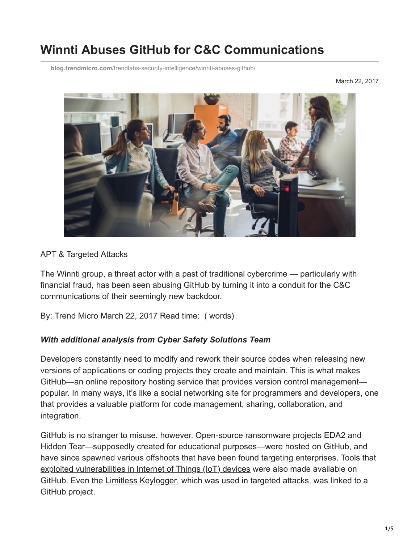# **Winnti Abuses GitHub for C&C Communications**

**blog.trendmicro.com**[/trendlabs-security-intelligence/winnti-abuses-github/](http://blog.trendmicro.com/trendlabs-security-intelligence/winnti-abuses-github/)

March 22, 2017



#### APT & Targeted Attacks

The Winnti group, a threat actor with a past of traditional cybercrime — particularly with financial fraud, has been seen abusing GitHub by turning it into a conduit for the C&C communications of their seemingly new backdoor.

By: Trend Micro March 22, 2017 Read time: ( words)

#### *With additional analysis from Cyber Safety Solutions Team*

Developers constantly need to modify and rework their source codes when releasing new versions of applications or coding projects they create and maintain. This is what makes GitHub—an online repository hosting service that provides version control management popular. In many ways, it's like a social networking site for programmers and developers, one that provides a valuable platform for code management, sharing, collaboration, and integration.

[GitHub is no stranger to misuse, however. Open-source ransomware projects EDA2 and](https://www.trendmicro.com/en_us/research/16/h/new-open-source-ransomwar-based-on-hidden-tear-and-eda2-may-target-businesses.html) Hidden Tear—supposedly created for educational purposes—were hosted on GitHub, and have since spawned various offshoots that have been found targeting enterprises. Tools that [exploited vulnerabilities in Internet of Things \(IoT\) devices](http://blog.trendmicro.com/trendlabs-security-intelligence/another-challenge-iot-open-backdoors/) were also made available on GitHub. Even the [Limitless Keylogger,](http://blog.trendmicro.com/trendlabs-security-intelligence/not-limitless-trend-micro-ftr-assists-arrest-limitless-author/) which was used in targeted attacks, was linked to a GitHub project.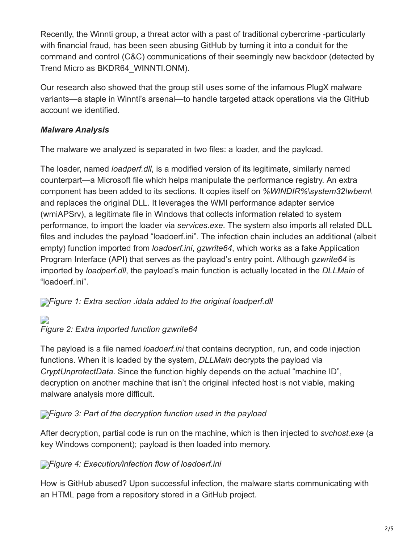Recently, the Winnti group, a threat actor with a past of traditional cybercrime -particularly with financial fraud, has been seen abusing GitHub by turning it into a conduit for the command and control (C&C) communications of their seemingly new backdoor (detected by Trend Micro as BKDR64\_WINNTI.ONM).

Our research also showed that the group still uses some of the infamous PlugX malware variants—a staple in Winnti's arsenal—to handle targeted attack operations via the GitHub account we identified.

## *Malware Analysis*

The malware we analyzed is separated in two files: a loader, and the payload.

The loader, named *loadperf.dll*, is a modified version of its legitimate, similarly named counterpart—a Microsoft file which helps manipulate the performance registry. An extra component has been added to its sections. It copies itself on *%WINDIR%\system32\wbem\* and replaces the original DLL. It leverages the WMI performance adapter service (wmiAPSrv), a legitimate file in Windows that collects information related to system performance, to import the loader via *services.exe*. The system also imports all related DLL files and includes the payload "loadoerf.ini". The infection chain includes an additional (albeit empty) function imported from *loadoerf.ini*, *gzwrite64*, which works as a fake Application Program Interface (API) that serves as the payload's entry point. Although *gzwrite64* is imported by *loadperf.dll*, the payload's main function is actually located in the *DLLMain* of "loadoerf.ini".

**[F](http://blog.trendmicro.com/content/dam/trendmicro/global/en/migrated/security-intelligence-migration-spreadsheet/trendlabs-security-intelligence/2017/03/winnti-github-1.png)igure 1: Extra section .idata added to the original loadperf.dll** 

### D *Figure 2: Extra imported function gzwrite64*

The payload is a file named *loadoerf.ini* that contains decryption, run, and code injection functions. When it is loaded by the system, *DLLMain* decrypts the payload via *CryptUnprotectData*. Since the function highly depends on the actual "machine ID", decryption on another machine that isn't the original infected host is not viable, making malware analysis more difficult.

# **[F](http://blog.trendmicro.com/content/dam/trendmicro/global/en/migrated/security-intelligence-migration-spreadsheet/trendlabs-security-intelligence/2017/03/winnti-github-3.png)**<sup>*igure 3: Part of the decryption function used in the payload</sup>*

After decryption, partial code is run on the machine, which is then injected to *svchost.exe* (a key Windows component); payload is then loaded into memory.

# **[F](http://blog.trendmicro.com/content/dam/trendmicro/global/en/migrated/security-intelligence-migration-spreadsheet/trendlabs-security-intelligence/2017/03/winnti-github-4.png)igure 4: Execution/infection flow of loadoerf.ini**

How is GitHub abused? Upon successful infection, the malware starts communicating with an HTML page from a repository stored in a GitHub project.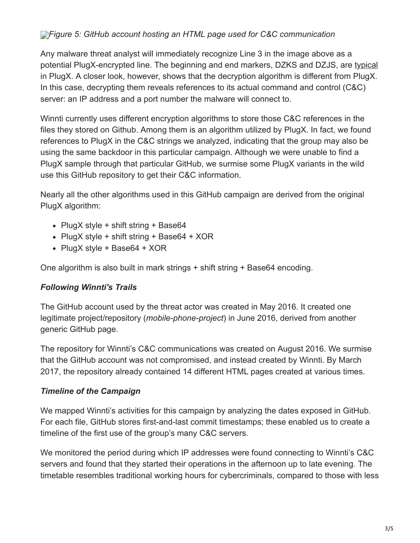## *[F](http://blog.trendmicro.com/content/dam/trendmicro/global/en/migrated/security-intelligence-migration-spreadsheet/trendlabs-security-intelligence/2017/03/winnti-github-5.png)igure 5: GitHub account hosting an HTML page used for C&C communication*

Any malware threat analyst will immediately recognize Line 3 in the image above as a potential PlugX-encrypted line. The beginning and end markers, DZKS and DZJS, are [typical](https://airbus-cyber-security.com/plugx-some-uncovered-points/) in PlugX. A closer look, however, shows that the decryption algorithm is different from PlugX. In this case, decrypting them reveals references to its actual command and control (C&C) server: an IP address and a port number the malware will connect to.

Winnti currently uses different encryption algorithms to store those C&C references in the files they stored on Github. Among them is an algorithm utilized by PlugX. In fact, we found references to PlugX in the C&C strings we analyzed, indicating that the group may also be using the same backdoor in this particular campaign. Although we were unable to find a PlugX sample through that particular GitHub, we surmise some PlugX variants in the wild use this GitHub repository to get their C&C information.

Nearly all the other algorithms used in this GitHub campaign are derived from the original PlugX algorithm:

- PlugX style + shift string + Base64
- PlugX style + shift string + Base64 + XOR
- PlugX style + Base64 + XOR

One algorithm is also built in mark strings + shift string + Base64 encoding.

#### *Following Winnti's Trails*

The GitHub account used by the threat actor was created in May 2016. It created one legitimate project/repository (*mobile-phone-project*) in June 2016, derived from another generic GitHub page.

The repository for Winnti's C&C communications was created on August 2016. We surmise that the GitHub account was not compromised, and instead created by Winnti. By March 2017, the repository already contained 14 different HTML pages created at various times.

#### *Timeline of the Campaign*

We mapped Winnti's activities for this campaign by analyzing the dates exposed in GitHub. For each file, GitHub stores first-and-last commit timestamps; these enabled us to create a timeline of the first use of the group's many C&C servers.

We monitored the period during which IP addresses were found connecting to Winnti's C&C servers and found that they started their operations in the afternoon up to late evening. The timetable resembles traditional working hours for cybercriminals, compared to those with less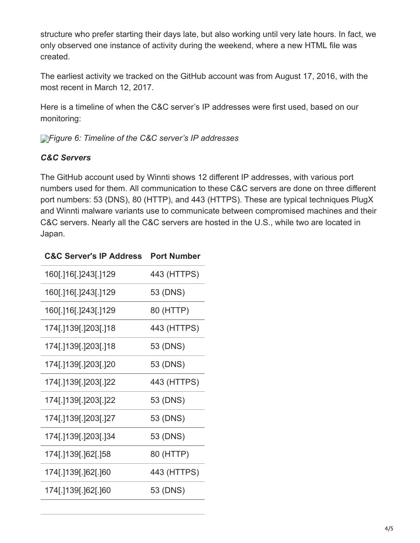structure who prefer starting their days late, but also working until very late hours. In fact, we only observed one instance of activity during the weekend, where a new HTML file was created.

The earliest activity we tracked on the GitHub account was from August 17, 2016, with the most recent in March 12, 2017.

Here is a timeline of when the C&C server's IP addresses were first used, based on our monitoring:

*[F](http://blog.trendmicro.com/content/dam/trendmicro/global/en/migrated/security-intelligence-migration-spreadsheet/trendlabs-security-intelligence/2017/03/winnti-github-6.png)igure 6: Timeline of the C&C server's IP addresses*

# *C&C Servers*

The GitHub account used by Winnti shows 12 different IP addresses, with various port numbers used for them. All communication to these C&C servers are done on three different port numbers: 53 (DNS), 80 (HTTP), and 443 (HTTPS). These are typical techniques PlugX and Winnti malware variants use to communicate between compromised machines and their C&C servers. Nearly all the C&C servers are hosted in the U.S., while two are located in Japan.

| <b>C&amp;C Server's IP Address</b> | <b>Port Number</b> |
|------------------------------------|--------------------|
| 160[.]16[.]243[.]129               | 443 (HTTPS)        |
| 160[.]16[.]243[.]129               | 53 (DNS)           |
| 160[.]16[.]243[.]129               | 80 (HTTP)          |
| 174[.]139[.]203[.]18               | 443 (HTTPS)        |
| 174[.]139[.]203[.]18               | 53 (DNS)           |
| 174[.]139[.]203[.]20               | 53 (DNS)           |
| 174[.]139[.]203[.]22               | 443 (HTTPS)        |
| 174[.]139[.]203[.]22               | 53 (DNS)           |
| 174[.]139[.]203[.]27               | 53 (DNS)           |
| 174[.]139[.]203[.]34               | 53 (DNS)           |
| 174[.]139[.]62[.]58                | 80 (HTTP)          |
| 174[.]139[.]62[.]60                | 443 (HTTPS)        |
| 174[.]139[.]62[.]60                | 53 (DNS)           |
|                                    |                    |